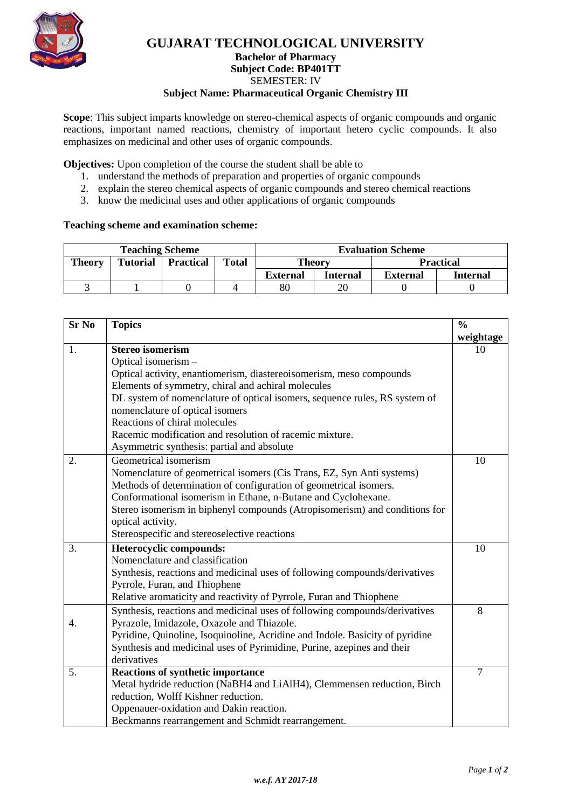

## **GUJARAT TECHNOLOGICAL UNIVERSITY Bachelor of Pharmacy Subject Code: BP401TT** SEMESTER: IV **Subject Name: Pharmaceutical Organic Chemistry III**

**Scope**: This subject imparts knowledge on stereo-chemical aspects of organic compounds and organic reactions, important named reactions, chemistry of important hetero cyclic compounds. It also emphasizes on medicinal and other uses of organic compounds.

**Objectives:** Upon completion of the course the student shall be able to

- 1. understand the methods of preparation and properties of organic compounds
- 2. explain the stereo chemical aspects of organic compounds and stereo chemical reactions
- 3. know the medicinal uses and other applications of organic compounds

## **Teaching scheme and examination scheme:**

| <b>Teaching Scheme</b> |                 |                  |              | <b>Evaluation Scheme</b> |          |                  |          |
|------------------------|-----------------|------------------|--------------|--------------------------|----------|------------------|----------|
| <b>Theory</b>          | <b>Tutorial</b> | <b>Practical</b> | <b>Total</b> | Theory                   |          | <b>Practical</b> |          |
|                        |                 |                  |              | <b>External</b>          | Internal | <b>External</b>  | Internal |
|                        |                 |                  |              | $80\,$                   | 20       |                  |          |

| <b>Sr No</b> | <b>Topics</b>                                                                |           |  |  |
|--------------|------------------------------------------------------------------------------|-----------|--|--|
|              |                                                                              | weightage |  |  |
| 1.           | <b>Stereo isomerism</b>                                                      | 10        |  |  |
|              | Optical isomerism -                                                          |           |  |  |
|              | Optical activity, enantiomerism, diastereoisomerism, meso compounds          |           |  |  |
|              | Elements of symmetry, chiral and achiral molecules                           |           |  |  |
|              | DL system of nomenclature of optical isomers, sequence rules, RS system of   |           |  |  |
|              | nomenclature of optical isomers                                              |           |  |  |
|              | Reactions of chiral molecules                                                |           |  |  |
|              | Racemic modification and resolution of racemic mixture.                      |           |  |  |
|              | Asymmetric synthesis: partial and absolute                                   |           |  |  |
| 2.           | Geometrical isomerism                                                        | 10        |  |  |
|              | Nomenclature of geometrical isomers (Cis Trans, EZ, Syn Anti systems)        |           |  |  |
|              | Methods of determination of configuration of geometrical isomers.            |           |  |  |
|              | Conformational isomerism in Ethane, n-Butane and Cyclohexane.                |           |  |  |
|              | Stereo isomerism in biphenyl compounds (Atropisomerism) and conditions for   |           |  |  |
|              | optical activity.                                                            |           |  |  |
|              | Stereospecific and stereoselective reactions                                 |           |  |  |
| 3.           | Heterocyclic compounds:                                                      | 10        |  |  |
|              | Nomenclature and classification                                              |           |  |  |
|              | Synthesis, reactions and medicinal uses of following compounds/derivatives   |           |  |  |
|              | Pyrrole, Furan, and Thiophene                                                |           |  |  |
|              | Relative aromaticity and reactivity of Pyrrole, Furan and Thiophene          |           |  |  |
|              | Synthesis, reactions and medicinal uses of following compounds/derivatives   | 8         |  |  |
| 4.           | Pyrazole, Imidazole, Oxazole and Thiazole.                                   |           |  |  |
|              | Pyridine, Quinoline, Isoquinoline, Acridine and Indole. Basicity of pyridine |           |  |  |
|              | Synthesis and medicinal uses of Pyrimidine, Purine, azepines and their       |           |  |  |
|              | derivatives                                                                  |           |  |  |
| 5.           | <b>Reactions of synthetic importance</b>                                     | 7         |  |  |
|              | Metal hydride reduction (NaBH4 and LiAlH4), Clemmensen reduction, Birch      |           |  |  |
|              | reduction, Wolff Kishner reduction.                                          |           |  |  |
|              | Oppenauer-oxidation and Dakin reaction.                                      |           |  |  |
|              | Beckmanns rearrangement and Schmidt rearrangement.                           |           |  |  |